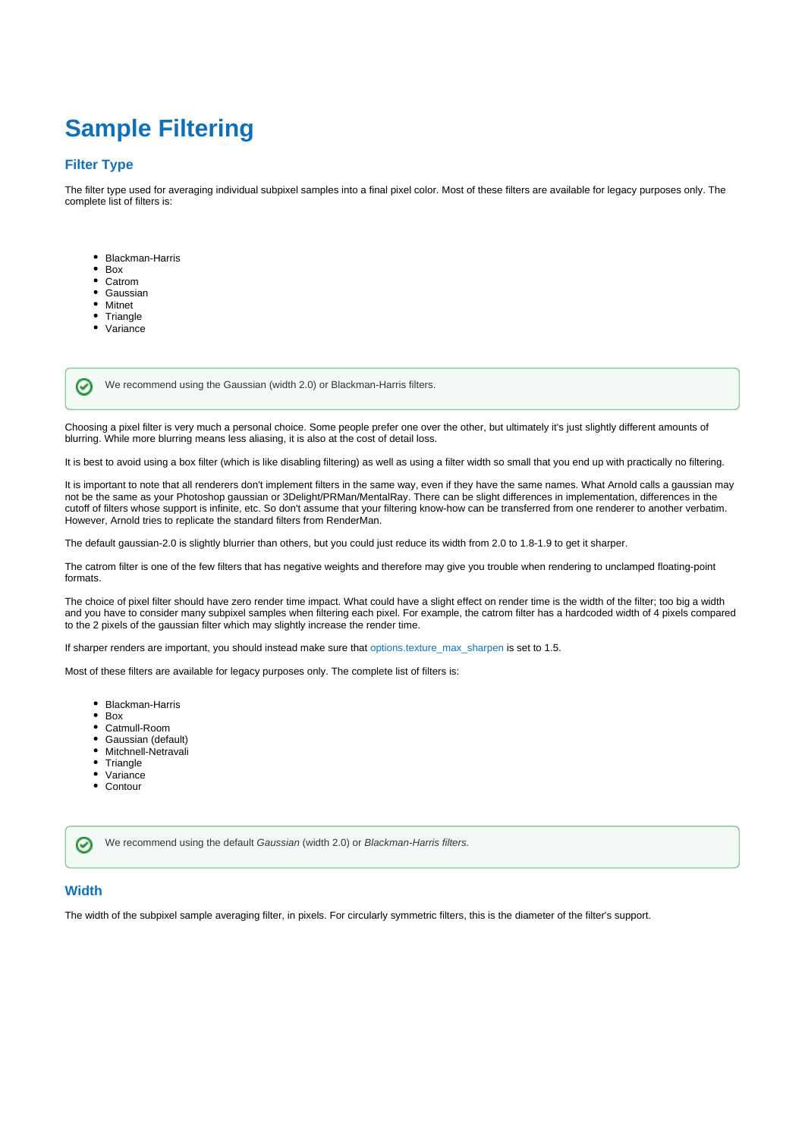## **Sample Filtering**

## **Filter Type**

The filter type used for averaging individual subpixel samples into a final pixel color. Most of these filters are available for legacy purposes only. The complete list of filters is:

- Blackman-Harris
- $\bullet$ Box  $\bullet$
- Catrom  $\bullet$ Gaussian
- Mitnet
- Triangle

⊘

• Variance

We recommend using the Gaussian (width 2.0) or Blackman-Harris filters.

Choosing a pixel filter is very much a personal choice. Some people prefer one over the other, but ultimately it's just slightly different amounts of blurring. While more blurring means less aliasing, it is also at the cost of detail loss.

It is best to avoid using a box filter (which is like disabling filtering) as well as using a filter width so small that you end up with practically no filtering.

It is important to note that all renderers don't implement filters in the same way, even if they have the same names. What Arnold calls a gaussian may not be the same as your Photoshop gaussian or 3Delight/PRMan/MentalRay. There can be slight differences in implementation, differences in the cutoff of filters whose support is infinite, etc. So don't assume that your filtering know-how can be transferred from one renderer to another verbatim. However, Arnold tries to replicate the standard filters from RenderMan.

The default gaussian-2.0 is slightly blurrier than others, but you could just reduce its width from 2.0 to 1.8-1.9 to get it sharper.

The catrom filter is one of the few filters that has negative weights and therefore may give you trouble when rendering to unclamped floating-point formats.

The choice of pixel filter should have zero render time impact. What could have a slight effect on render time is the width of the filter; too big a width and you have to consider many subpixel samples when filtering each pixel. For example, the catrom filter has a hardcoded width of 4 pixels compared to the 2 pixels of the gaussian filter which may slightly increase the render time.

If sharper renders are important, you should instead make sure that [options.texture\\_max\\_sharpen](https://docs.arnoldrenderer.com/display/A5NodeRef/options#options-texture_max_sharpen) is set to 1.5.

Most of these filters are available for legacy purposes only. The complete list of filters is:

- Blackman-Harris
- Box
- Catmull-Room
- Gaussian (default)
- Mitchnell-Netravali
- Triangle
- Variance
- Contour

We recommend using the default Gaussian (width 2.0) or Blackman-Harris filters.

## **Width**

の

The width of the subpixel sample averaging filter, in pixels. For circularly symmetric filters, this is the diameter of the filter's support.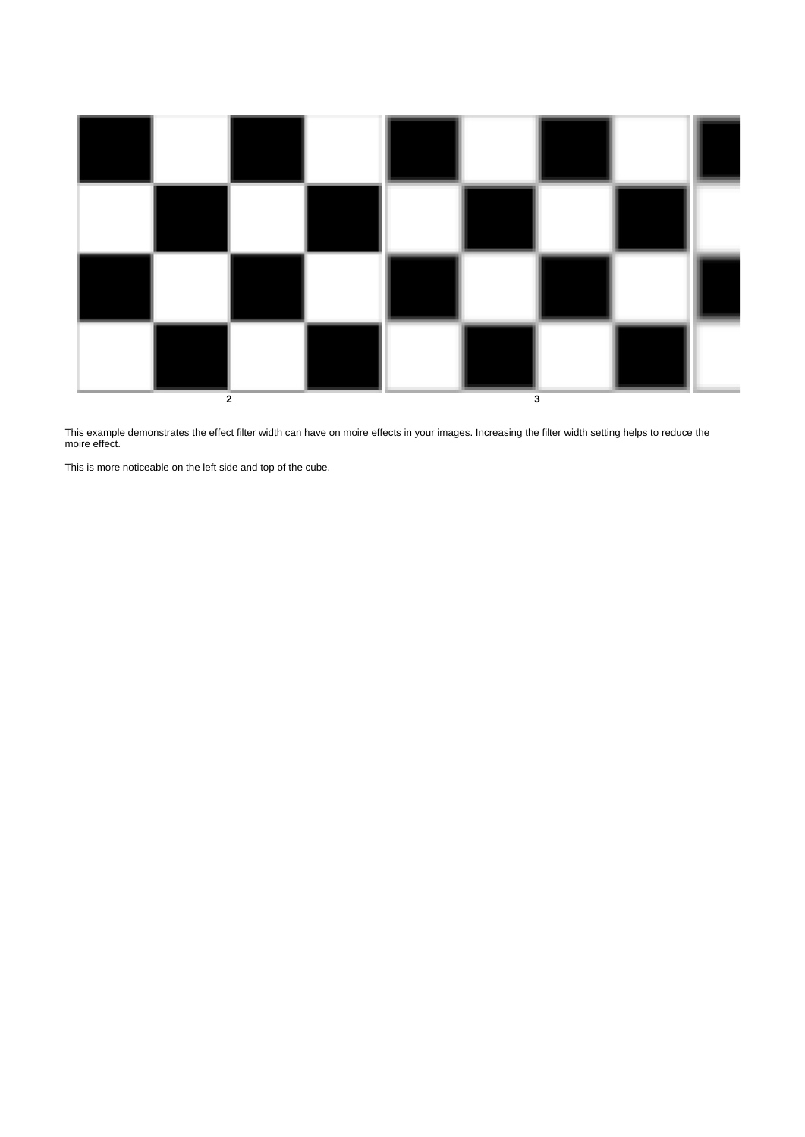

This example demonstrates the effect filter width can have on moire effects in your images. Increasing the filter width setting helps to reduce the moire effect.

This is more noticeable on the left side and top of the cube.